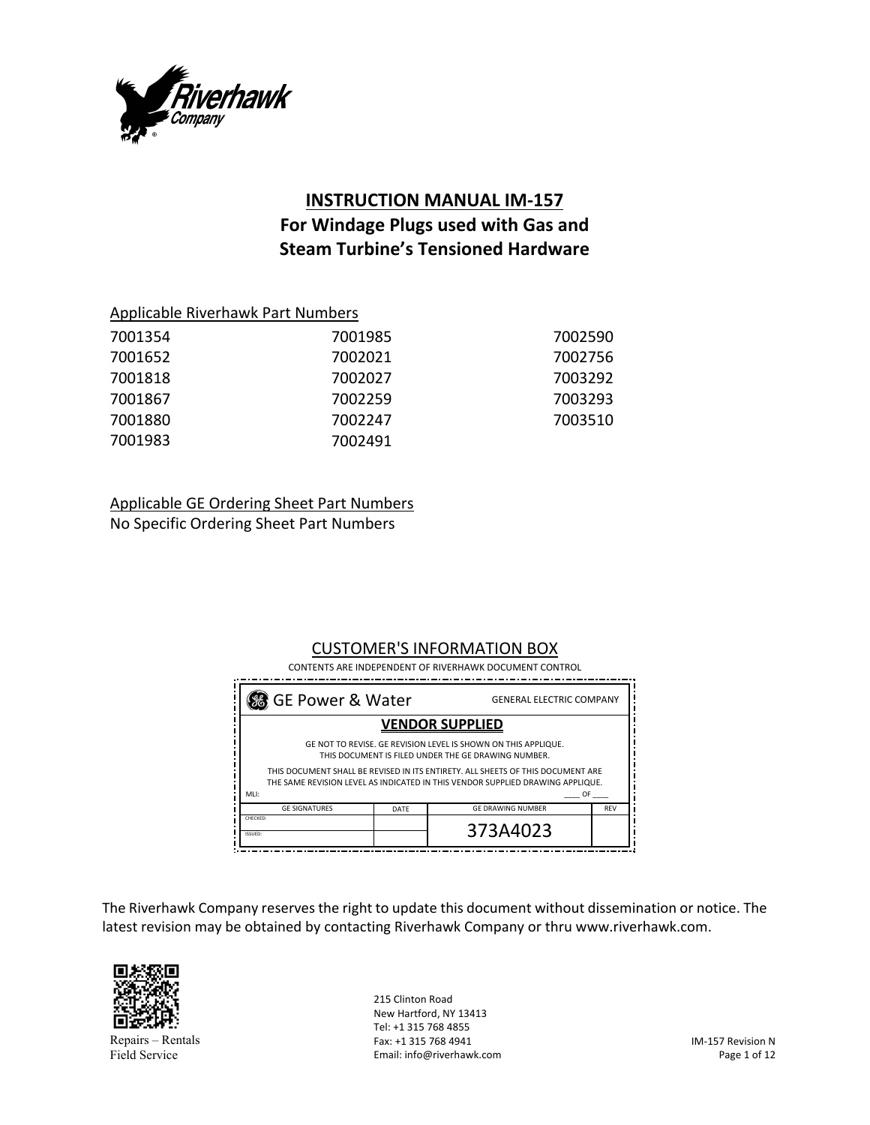

# **INSTRUCTION MANUAL IM‐157 For Windage Plugs used with Gas and Steam Turbine's Tensioned Hardware**

| 7001354 | 7001985 | 7002590 |
|---------|---------|---------|
| 7001652 | 7002021 | 7002756 |
| 7001818 | 7002027 | 7003292 |
| 7001867 | 7002259 | 7003293 |
| 7001880 | 7002247 | 7003510 |
| 7001983 | 7002491 |         |

Applicable GE Ordering Sheet Part Numbers

No Specific Ordering Sheet Part Numbers

# CUSTOMER'S INFORMATION BOX

 CONTENTS ARE INDEPENDENT OF RIVERHAWK DOCUMENT CONTROL

| So GE Power & Water<br><b>GENERAL ELECTRIC COMPANY</b>                                                                                                            |      |                          |            |
|-------------------------------------------------------------------------------------------------------------------------------------------------------------------|------|--------------------------|------------|
| <b>VENDOR SUPPLIED</b>                                                                                                                                            |      |                          |            |
| GE NOT TO REVISE. GE REVISION LEVEL IS SHOWN ON THIS APPLIQUE.<br>THIS DOCUMENT IS FILED UNDER THE GE DRAWING NUMBER.                                             |      |                          |            |
| THIS DOCUMENT SHALL BE REVISED IN ITS ENTIRETY. ALL SHEETS OF THIS DOCUMENT ARE<br>THE SAME REVISION LEVEL AS INDICATED IN THIS VENDOR SUPPLIED DRAWING APPLIQUE. |      |                          |            |
| MLI:                                                                                                                                                              |      | OF                       |            |
| <b>GE SIGNATURES</b>                                                                                                                                              | DATE | <b>GE DRAWING NUMBER</b> | <b>REV</b> |
| CHECKED:<br>ISSUED:                                                                                                                                               |      | 373A4023                 |            |

The Riverhawk Company reserves the right to update this document without dissemination or notice. The latest revision may be obtained by contacting Riverhawk Company or thru www.riverhawk.com.



Repairs – Rentals Field Service

215 Clinton Road New Hartford, NY 13413 Tel: +1 315 768 4855 Fax: +1 315 768 4941 Email: info@riverhawk.com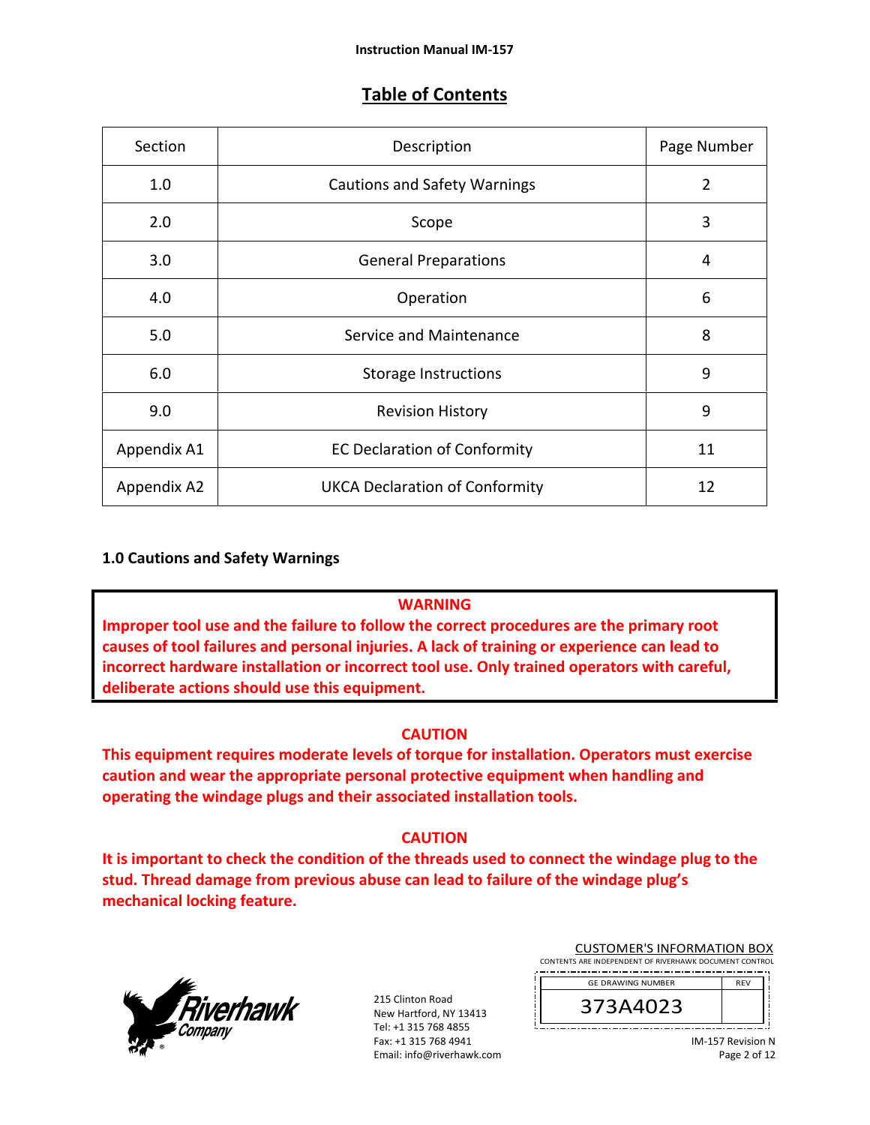# **Table of Contents**

| Section     | Description                           | Page Number |
|-------------|---------------------------------------|-------------|
| 1.0         | <b>Cautions and Safety Warnings</b>   | 2           |
| 2.0         | Scope                                 | 3           |
| 3.0         | <b>General Preparations</b>           | 4           |
| 4.0         | Operation                             | 6           |
| 5.0         | Service and Maintenance               | 8           |
| 6.0         | <b>Storage Instructions</b>           | 9           |
| 9.0         | <b>Revision History</b>               | 9           |
| Appendix A1 | <b>EC Declaration of Conformity</b>   | 11          |
| Appendix A2 | <b>UKCA Declaration of Conformity</b> | 12          |

## **1.0 Cautions and Safety Warnings**

#### **WARNING**

**Improper tool use and the failure to follow the correct procedures are the primary root causes of tool failures and personal injuries. A lack of training or experience can lead to incorrect hardware installation or incorrect tool use. Only trained operators with careful, deliberate actions should use this equipment.** 

## **CAUTION**

**This equipment requires moderate levels of torque for installation. Operators must exercise caution and wear the appropriate personal protective equipment when handling and operating the windage plugs and their associated installation tools.** 

## **CAUTION**

**It is important to check the condition of the threads used to connect the windage plug to the stud. Thread damage from previous abuse can lead to failure of the windage plug's mechanical locking feature.** 



215 Clinton Road New Hartford, NY 13413 Tel: +1 315 768 4855 Fax: +1 315 768 4941 Email: info@riverhawk.com

| <b>CUSTOMER'S INFORMATION BOX</b>                      |  |  |
|--------------------------------------------------------|--|--|
| CONTENTS ARE INDEPENDENT OF RIVERHAWK DOCUMENT CONTROL |  |  |



IM‐157 Revision N Page 2 of 12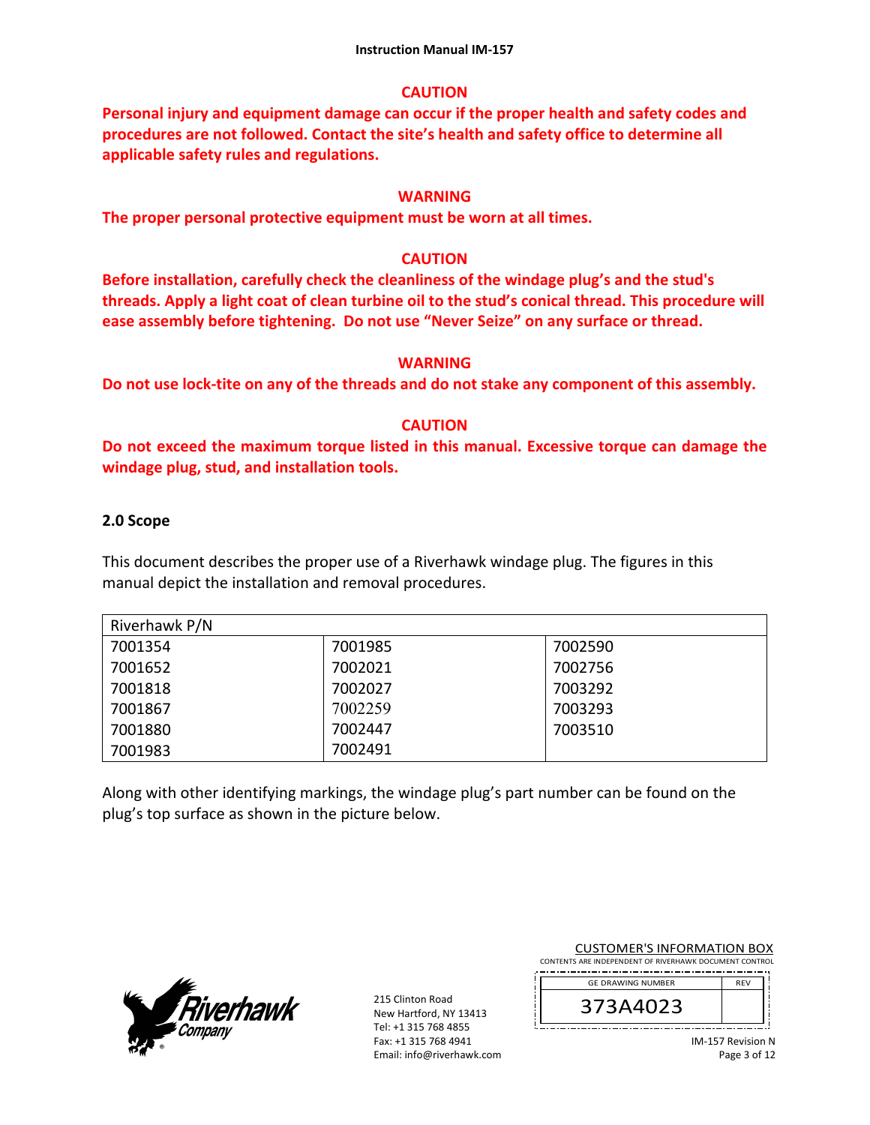## **CAUTION**

**Personal injury and equipment damage can occur if the proper health and safety codes and procedures are not followed. Contact the site's health and safety office to determine all applicable safety rules and regulations.**

## **WARNING**

**The proper personal protective equipment must be worn at all times.** 

## **CAUTION**

**Before installation, carefully check the cleanliness of the windage plug's and the stud's threads. Apply a light coat of clean turbine oil to the stud's conical thread. This procedure will ease assembly before tightening. Do not use "Never Seize" on any surface or thread.**

## **WARNING**

**Do not use lock‐tite on any of the threads and do not stake any component of this assembly.**

## **CAUTION**

**Do not exceed the maximum torque listed in this manual. Excessive torque can damage the windage plug, stud, and installation tools.** 

## **2.0 Scope**

This document describes the proper use of a Riverhawk windage plug. The figures in this manual depict the installation and removal procedures.

| Riverhawk P/N |         |         |
|---------------|---------|---------|
| 7001354       | 7001985 | 7002590 |
| 7001652       | 7002021 | 7002756 |
| 7001818       | 7002027 | 7003292 |
| 7001867       | 7002259 | 7003293 |
| 7001880       | 7002447 | 7003510 |
| 7001983       | 7002491 |         |

Along with other identifying markings, the windage plug's part number can be found on the plug's top surface as shown in the picture below.



215 Clinton Road New Hartford, NY 13413 Tel: +1 315 768 4855 Fax: +1 315 768 4941 Email: info@riverhawk.com

|--|

| CONTENTS ARE INDEPENDENT OF RIVERHAWK DOCUMENT CONTROL |  |
|--------------------------------------------------------|--|
|                                                        |  |

| UZ3<br>7A4 | <b>RFV</b> |
|------------|------------|
|            |            |

IM‐157 Revision N Page 3 of 12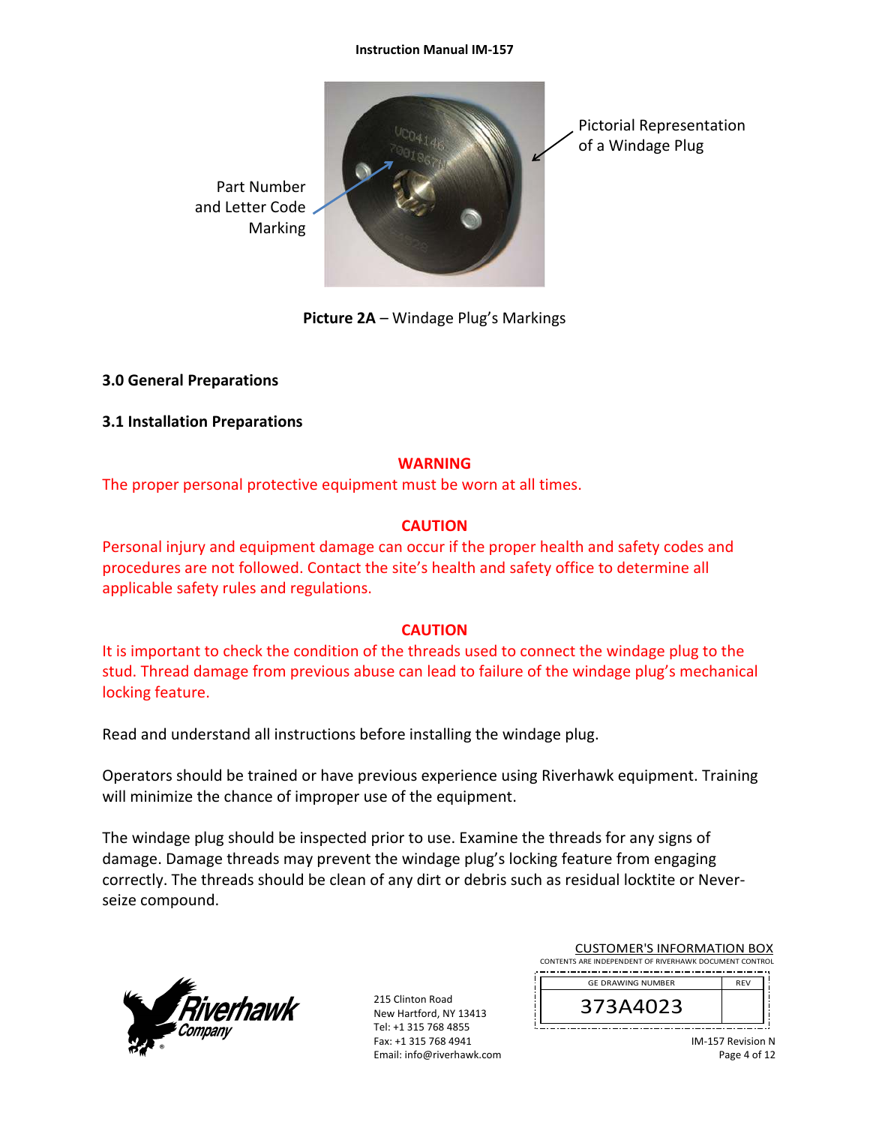#### **Instruction Manual IM‐157**



**Picture 2A** – Windage Plug's Markings

## **3.0 General Preparations**

## **3.1 Installation Preparations**

## **WARNING**

The proper personal protective equipment must be worn at all times.

# **CAUTION**

Personal injury and equipment damage can occur if the proper health and safety codes and procedures are not followed. Contact the site's health and safety office to determine all applicable safety rules and regulations.

# **CAUTION**

It is important to check the condition of the threads used to connect the windage plug to the stud. Thread damage from previous abuse can lead to failure of the windage plug's mechanical locking feature.

Read and understand all instructions before installing the windage plug.

Operators should be trained or have previous experience using Riverhawk equipment. Training will minimize the chance of improper use of the equipment.

The windage plug should be inspected prior to use. Examine the threads for any signs of damage. Damage threads may prevent the windage plug's locking feature from engaging correctly. The threads should be clean of any dirt or debris such as residual locktite or Never‐ seize compound.



215 Clinton Road New Hartford, NY 13413 Tel: +1 315 768 4855 Fax: +1 315 768 4941 Email: info@riverhawk.com

| <b>CUSTOMER'S INFORMATION BOX</b>                      |            |  |
|--------------------------------------------------------|------------|--|
| CONTENTS ARE INDEPENDENT OF RIVERHAWK DOCUMENT CONTROL |            |  |
| <b>GE DRAWING NUMBER</b>                               | <b>RFV</b> |  |

373A4023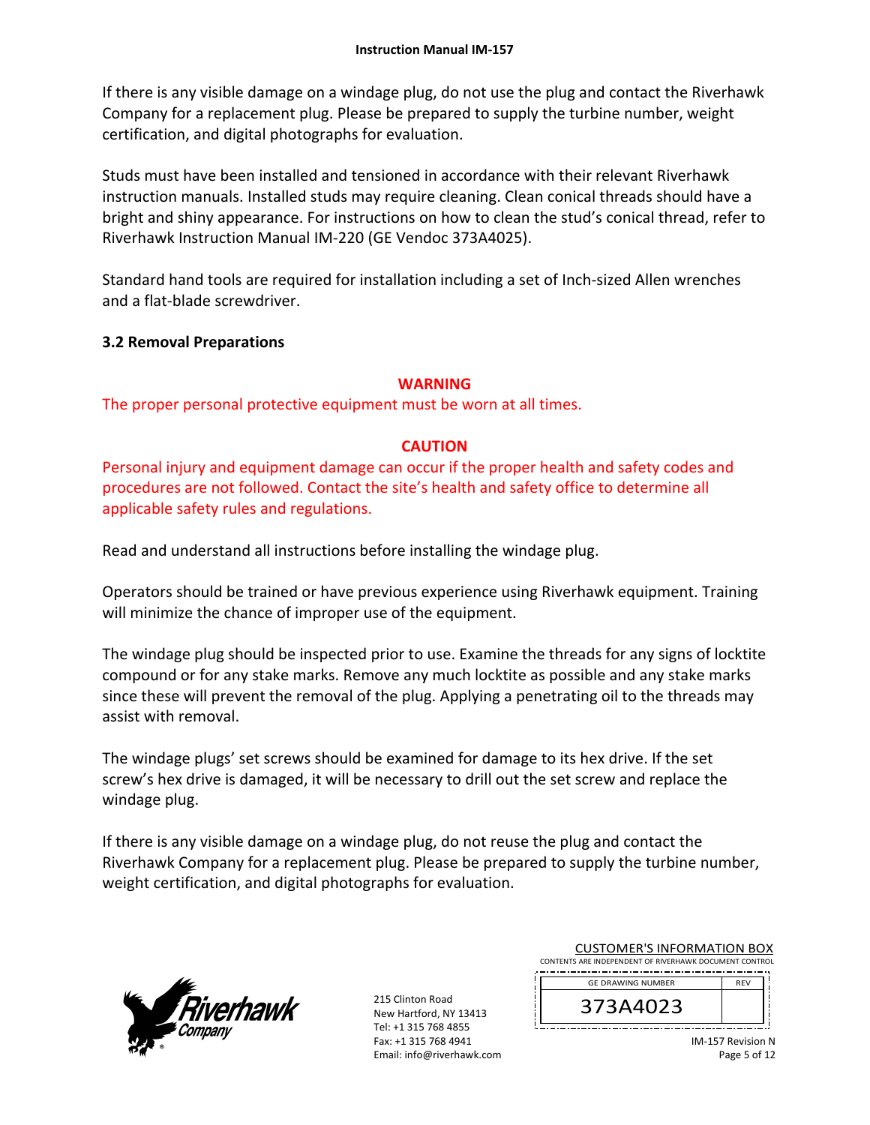If there is any visible damage on a windage plug, do not use the plug and contact the Riverhawk Company for a replacement plug. Please be prepared to supply the turbine number, weight certification, and digital photographs for evaluation.

Studs must have been installed and tensioned in accordance with their relevant Riverhawk instruction manuals. Installed studs may require cleaning. Clean conical threads should have a bright and shiny appearance. For instructions on how to clean the stud's conical thread, refer to Riverhawk Instruction Manual IM‐220 (GE Vendoc 373A4025).

Standard hand tools are required for installation including a set of Inch‐sized Allen wrenches and a flat‐blade screwdriver.

# **3.2 Removal Preparations**

# **WARNING**

The proper personal protective equipment must be worn at all times.

# **CAUTION**

Personal injury and equipment damage can occur if the proper health and safety codes and procedures are not followed. Contact the site's health and safety office to determine all applicable safety rules and regulations.

Read and understand all instructions before installing the windage plug.

Operators should be trained or have previous experience using Riverhawk equipment. Training will minimize the chance of improper use of the equipment.

The windage plug should be inspected prior to use. Examine the threads for any signs of locktite compound or for any stake marks. Remove any much locktite as possible and any stake marks since these will prevent the removal of the plug. Applying a penetrating oil to the threads may assist with removal.

The windage plugs' set screws should be examined for damage to its hex drive. If the set screw's hex drive is damaged, it will be necessary to drill out the set screw and replace the windage plug.

If there is any visible damage on a windage plug, do not reuse the plug and contact the Riverhawk Company for a replacement plug. Please be prepared to supply the turbine number, weight certification, and digital photographs for evaluation.



215 Clinton Road New Hartford, NY 13413 Tel: +1 315 768 4855 Fax: +1 315 768 4941 Email: info@riverhawk.com

| <b>CUSTOMER'S INFORMATION BOX</b>                      |
|--------------------------------------------------------|
| CONTENTS ARE INDEPENDENT OF RIVERHAWK DOCUMENT CONTROL |
|                                                        |

| <b>GE DRAWING NUMBER</b> | <b>RFV</b> |
|--------------------------|------------|
| 3A4023                   |            |
|                          |            |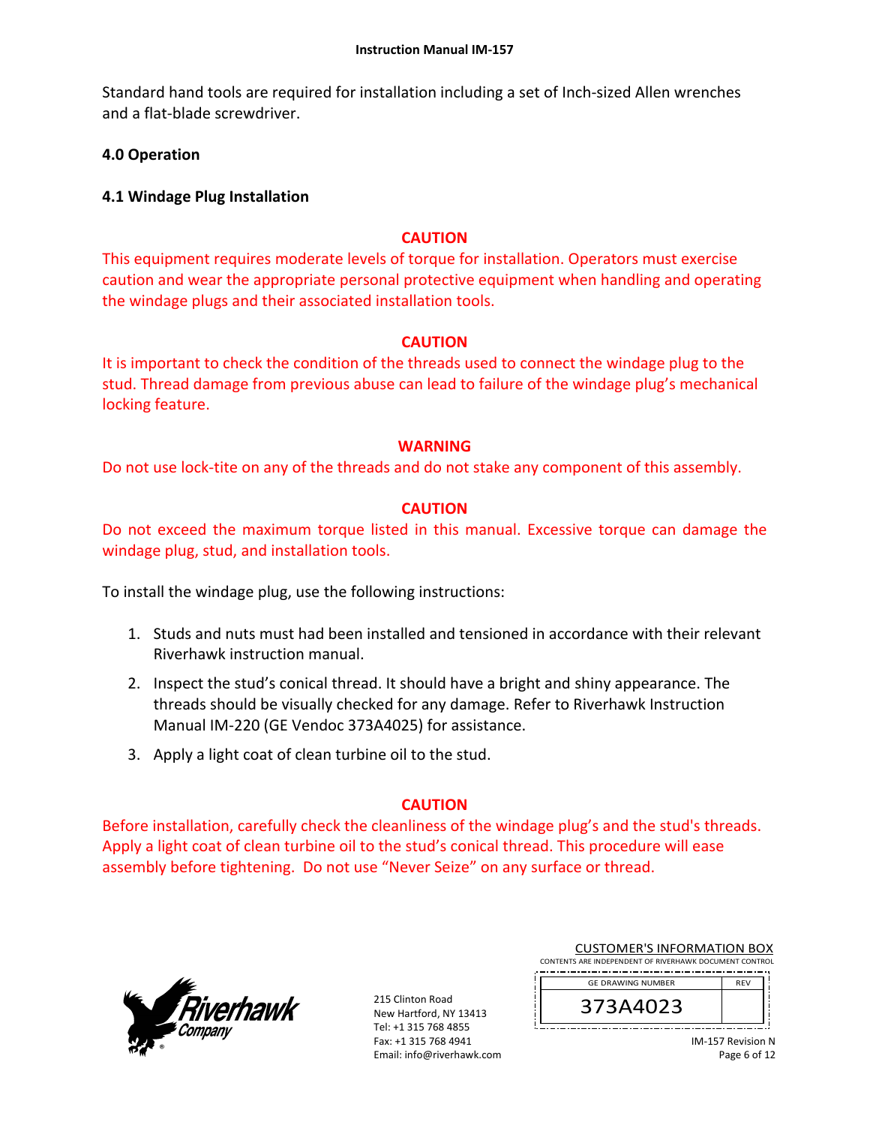Standard hand tools are required for installation including a set of Inch‐sized Allen wrenches and a flat‐blade screwdriver.

# **4.0 Operation**

## **4.1 Windage Plug Installation**

## **CAUTION**

This equipment requires moderate levels of torque for installation. Operators must exercise caution and wear the appropriate personal protective equipment when handling and operating the windage plugs and their associated installation tools.

## **CAUTION**

It is important to check the condition of the threads used to connect the windage plug to the stud. Thread damage from previous abuse can lead to failure of the windage plug's mechanical locking feature.

## **WARNING**

Do not use lock-tite on any of the threads and do not stake any component of this assembly.

## **CAUTION**

Do not exceed the maximum torque listed in this manual. Excessive torque can damage the windage plug, stud, and installation tools.

To install the windage plug, use the following instructions:

- 1. Studs and nuts must had been installed and tensioned in accordance with their relevant Riverhawk instruction manual.
- 2. Inspect the stud's conical thread. It should have a bright and shiny appearance. The threads should be visually checked for any damage. Refer to Riverhawk Instruction Manual IM‐220 (GE Vendoc 373A4025) for assistance.
- 3. Apply a light coat of clean turbine oil to the stud.

# **CAUTION**

Before installation, carefully check the cleanliness of the windage plug's and the stud's threads. Apply a light coat of clean turbine oil to the stud's conical thread. This procedure will ease assembly before tightening. Do not use "Never Seize" on any surface or thread.



215 Clinton Road New Hartford, NY 13413 Tel: +1 315 768 4855 Fax: +1 315 768 4941 Email: info@riverhawk.com

| <b>CUSTOMER'S INFORMATION BOX</b>                      |
|--------------------------------------------------------|
| CONTENTS ARE INDEPENDENT OF RIVERHAWK DOCUMENT CONTROL |
|                                                        |

| <b>GE DRAWING NUMBER</b> | <b>REV</b> |
|--------------------------|------------|
| 373A4023                 |            |
|                          |            |

IM‐157 Revision N Page 6 of 12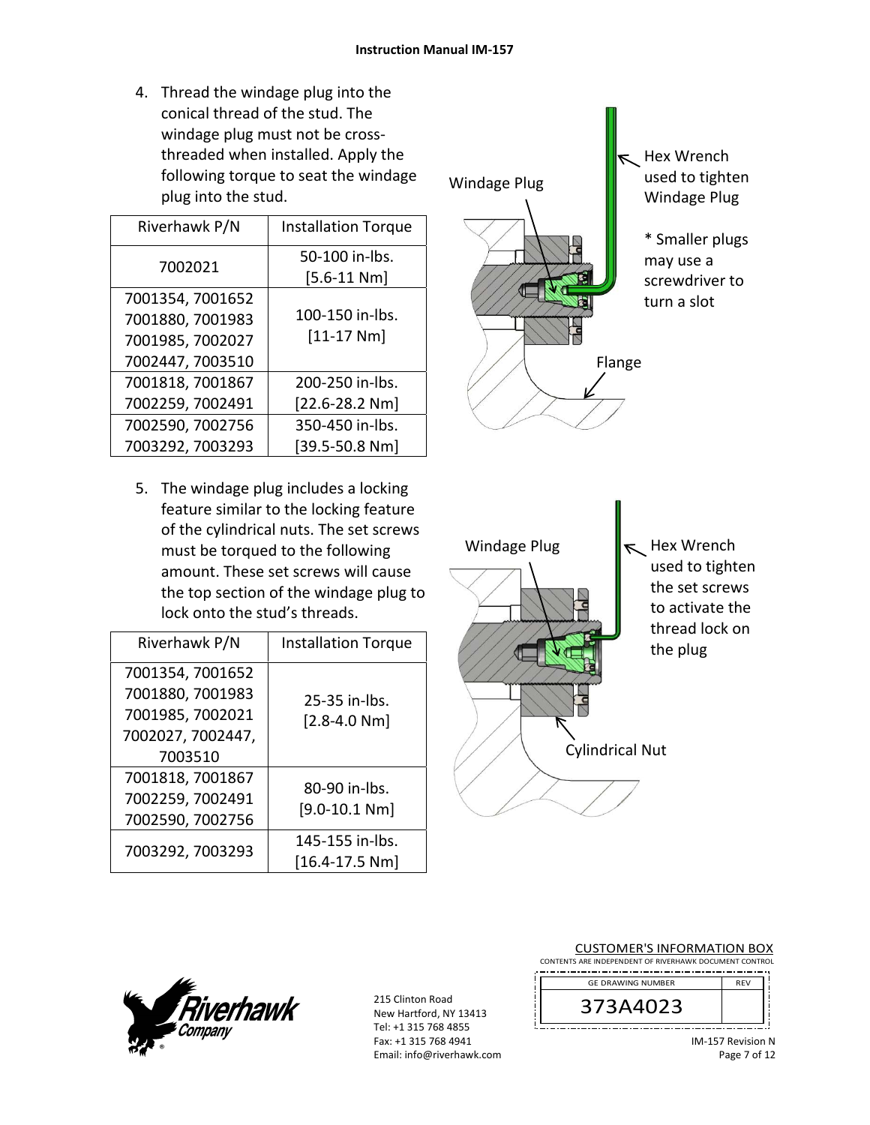4. Thread the windage plug into the conical thread of the stud. The windage plug must not be cross‐ threaded when installed. Apply the following torque to seat the windage plug into the stud.

| Riverhawk P/N    | <b>Installation Torque</b>        |
|------------------|-----------------------------------|
| 7002021          | 50-100 in-lbs.<br>$[5.6 - 11 Nm]$ |
| 7001354, 7001652 |                                   |
| 7001880, 7001983 | 100-150 in-lbs.                   |
| 7001985, 7002027 | $[11 - 17 Nm]$                    |
| 7002447, 7003510 |                                   |
| 7001818, 7001867 | 200-250 in-lbs.                   |
| 7002259, 7002491 | $[22.6 - 28.2 Nm]$                |
| 7002590, 7002756 | 350-450 in-lbs.                   |
| 7003292, 7003293 | $[39.5 - 50.8 Nm]$                |

5. The windage plug includes a locking feature similar to the locking feature of the cylindrical nuts. The set screws must be torqued to the following amount. These set screws will cause the top section of the windage plug to lock onto the stud's threads.

| Riverhawk P/N                                                                            | <b>Installation Torque</b>          |
|------------------------------------------------------------------------------------------|-------------------------------------|
| 7001354, 7001652<br>7001880, 7001983<br>7001985, 7002021<br>7002027, 7002447,<br>7003510 | $25-35$ in-lbs.<br>$[2.8 - 4.0 Nm]$ |
| 7001818, 7001867<br>7002259, 7002491<br>7002590, 7002756                                 | 80-90 in-lbs.<br>$[9.0 - 10.1 Nm]$  |
| 7003292, 7003293                                                                         | 145-155 in-lbs.<br>[16.4-17.5 Nm]   |





215 Clinton Road New Hartford, NY 13413 Tel: +1 315 768 4855 Fax: +1 315 768 4941 Email: info@riverhawk.com ļ

| <b>CUSTOMER'S INFORMATION BOX</b>                      |  |  |
|--------------------------------------------------------|--|--|
| CONTENTS ARE INDEPENDENT OF RIVERHAWK DOCUMENT CONTROL |  |  |

| <b>GE DRAWING NUMBER</b> | <b>REV</b> |
|--------------------------|------------|
| 3<br>ノメ<br>/ SA(         |            |
|                          |            |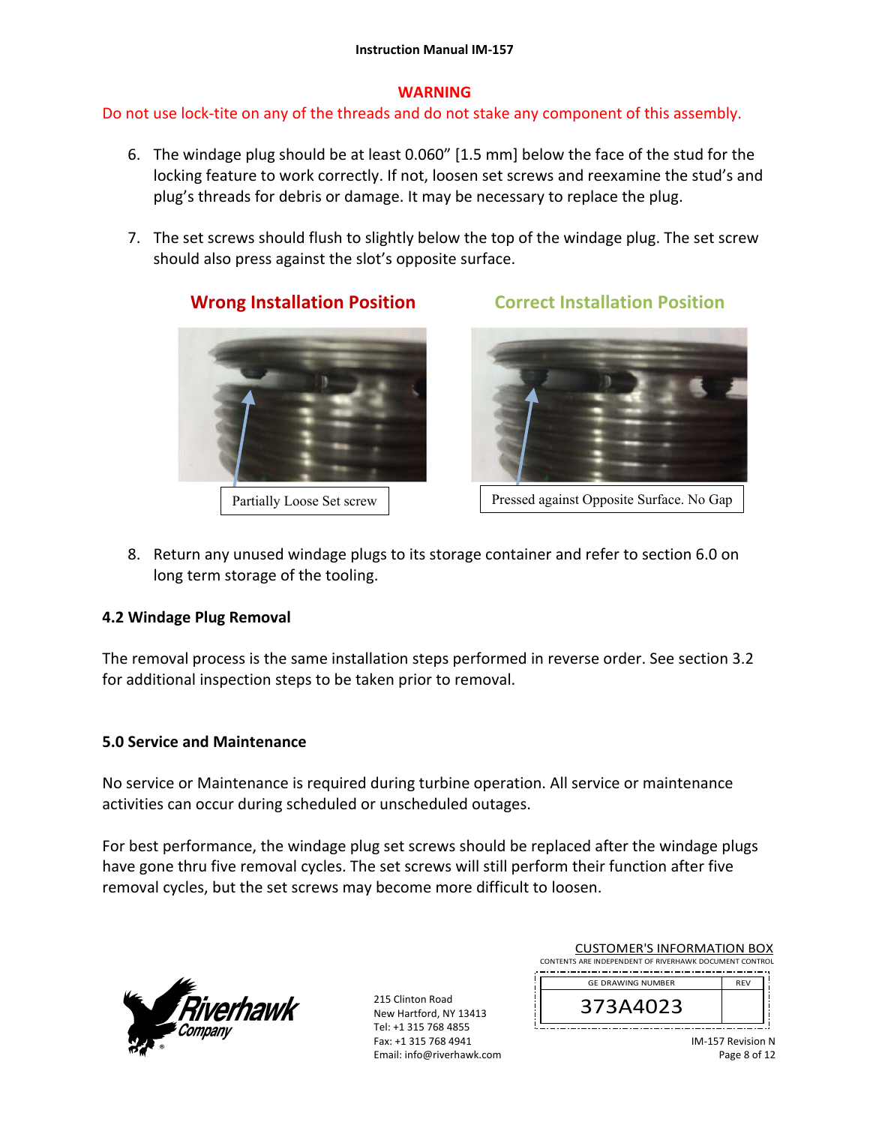# **WARNING**

# Do not use lock‐tite on any of the threads and do not stake any component of this assembly.

- 6. The windage plug should be at least 0.060" [1.5 mm] below the face of the stud for the locking feature to work correctly. If not, loosen set screws and reexamine the stud's and plug's threads for debris or damage. It may be necessary to replace the plug.
- 7. The set screws should flush to slightly below the top of the windage plug. The set screw should also press against the slot's opposite surface.

**Wrong Installation Position Correct Installation Position** 



Partially Loose Set screw | Pressed against Opposite Surface. No Gap

8. Return any unused windage plugs to its storage container and refer to section 6.0 on long term storage of the tooling.

# **4.2 Windage Plug Removal**

The removal process is the same installation steps performed in reverse order. See section 3.2 for additional inspection steps to be taken prior to removal.

# **5.0 Service and Maintenance**

No service or Maintenance is required during turbine operation. All service or maintenance activities can occur during scheduled or unscheduled outages.

For best performance, the windage plug set screws should be replaced after the windage plugs have gone thru five removal cycles. The set screws will still perform their function after five removal cycles, but the set screws may become more difficult to loosen.



215 Clinton Road New Hartford, NY 13413 Tel: +1 315 768 4855 Fax: +1 315 768 4941 Email: info@riverhawk.com

| CONTENTS ARE INDEPENDENT OF RIVERHAWK DOCUMENT CONTROL |            |  |
|--------------------------------------------------------|------------|--|
| <b>GE DRAWING NUMBER</b>                               | <b>RFV</b> |  |
| 373A4023                                               |            |  |

CUSTOMER'S INFORMATION BOX

IM‐157 Revision N Page 8 of 12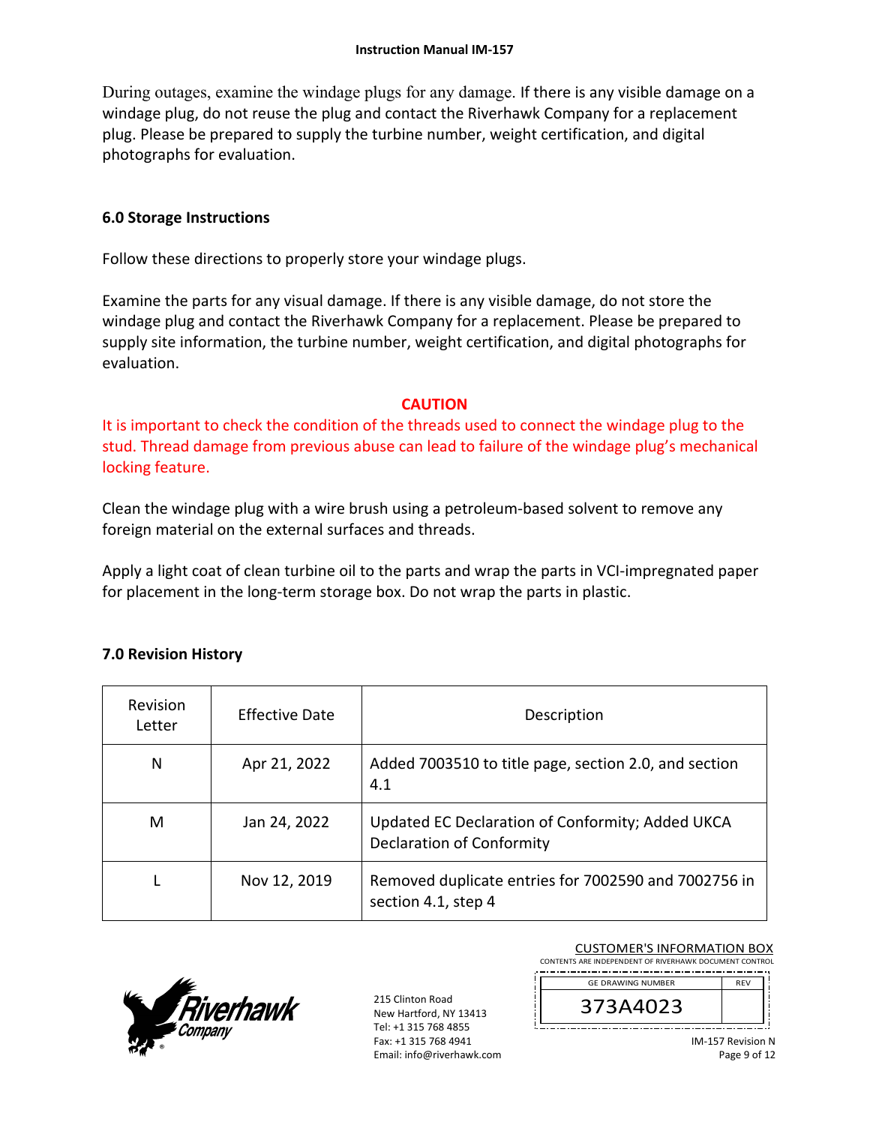During outages, examine the windage plugs for any damage. If there is any visible damage on a windage plug, do not reuse the plug and contact the Riverhawk Company for a replacement plug. Please be prepared to supply the turbine number, weight certification, and digital photographs for evaluation.

## **6.0 Storage Instructions**

Follow these directions to properly store your windage plugs.

Examine the parts for any visual damage. If there is any visible damage, do not store the windage plug and contact the Riverhawk Company for a replacement. Please be prepared to supply site information, the turbine number, weight certification, and digital photographs for evaluation.

#### **CAUTION**

It is important to check the condition of the threads used to connect the windage plug to the stud. Thread damage from previous abuse can lead to failure of the windage plug's mechanical locking feature.

Clean the windage plug with a wire brush using a petroleum‐based solvent to remove any foreign material on the external surfaces and threads.

Apply a light coat of clean turbine oil to the parts and wrap the parts in VCI‐impregnated paper for placement in the long-term storage box. Do not wrap the parts in plastic.

## **7.0 Revision History**

| <b>Revision</b><br>Letter | Effective Date | Description                                                                          |
|---------------------------|----------------|--------------------------------------------------------------------------------------|
| N                         | Apr 21, 2022   | Added 7003510 to title page, section 2.0, and section<br>4.1                         |
| м                         | Jan 24, 2022   | Updated EC Declaration of Conformity; Added UKCA<br><b>Declaration of Conformity</b> |
|                           | Nov 12, 2019   | Removed duplicate entries for 7002590 and 7002756 in<br>section 4.1, step 4          |



215 Clinton Road New Hartford, NY 13413 Tel: +1 315 768 4855 Fax: +1 315 768 4941 Email: info@riverhawk.com

| <b>CUSTOMER'S INFORMATION BOX</b>                      |
|--------------------------------------------------------|
| CONTENTS ARE INDEPENDENT OF RIVERHAWK DOCUMENT CONTROL |
|                                                        |



IM‐157 Revision N Page 9 of 12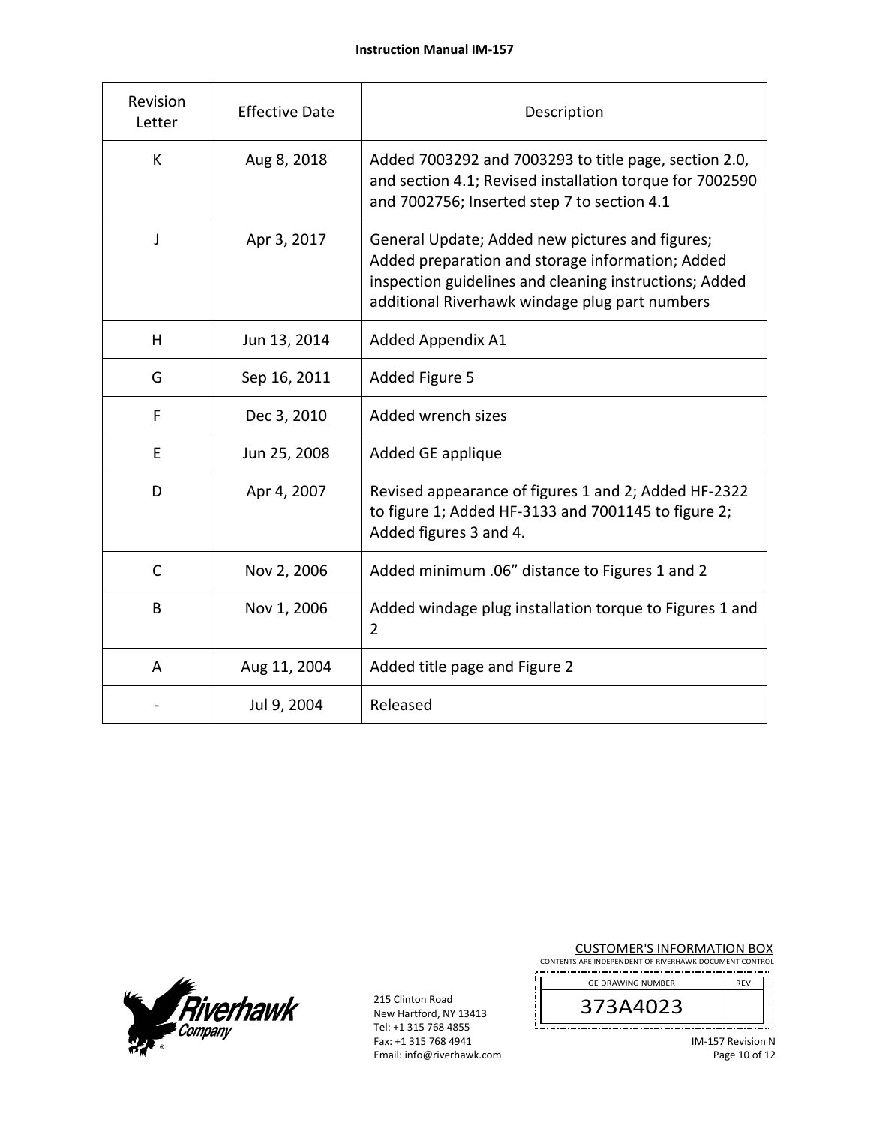| Revision<br>Letter | <b>Effective Date</b> | Description                                                                                                                                                                                                     |
|--------------------|-----------------------|-----------------------------------------------------------------------------------------------------------------------------------------------------------------------------------------------------------------|
| K                  | Aug 8, 2018           | Added 7003292 and 7003293 to title page, section 2.0,<br>and section 4.1; Revised installation torque for 7002590<br>and 7002756; Inserted step 7 to section 4.1                                                |
| J                  | Apr 3, 2017           | General Update; Added new pictures and figures;<br>Added preparation and storage information; Added<br>inspection guidelines and cleaning instructions; Added<br>additional Riverhawk windage plug part numbers |
| н                  | Jun 13, 2014          | Added Appendix A1                                                                                                                                                                                               |
| G                  | Sep 16, 2011          | Added Figure 5                                                                                                                                                                                                  |
| F                  | Dec 3, 2010           | Added wrench sizes                                                                                                                                                                                              |
| E                  | Jun 25, 2008          | Added GE applique                                                                                                                                                                                               |
| D                  | Apr 4, 2007           | Revised appearance of figures 1 and 2; Added HF-2322<br>to figure 1; Added HF-3133 and 7001145 to figure 2;<br>Added figures 3 and 4.                                                                           |
| C                  | Nov 2, 2006           | Added minimum .06" distance to Figures 1 and 2                                                                                                                                                                  |
| B                  | Nov 1, 2006           | Added windage plug installation torque to Figures 1 and<br>$\overline{2}$                                                                                                                                       |
| A                  | Aug 11, 2004          | Added title page and Figure 2                                                                                                                                                                                   |
|                    | Jul 9, 2004           | Released                                                                                                                                                                                                        |



215 Clinton Road New Hartford, NY 13413 Tel: +1 315 768 4855 Fax: +1 315 768 4941 Email: info@riverhawk.com **CUSTOMER'S INFORMATION BOX**<br>CONTENTS ARE INDEPENDENT OF RIVERHAWK DOCUMENT CONTROL

| <b>GE DRAWING NUMBER</b> | RFV. |
|--------------------------|------|
|                          |      |
|                          |      |

IM‐157 Revision N Page 10 of 12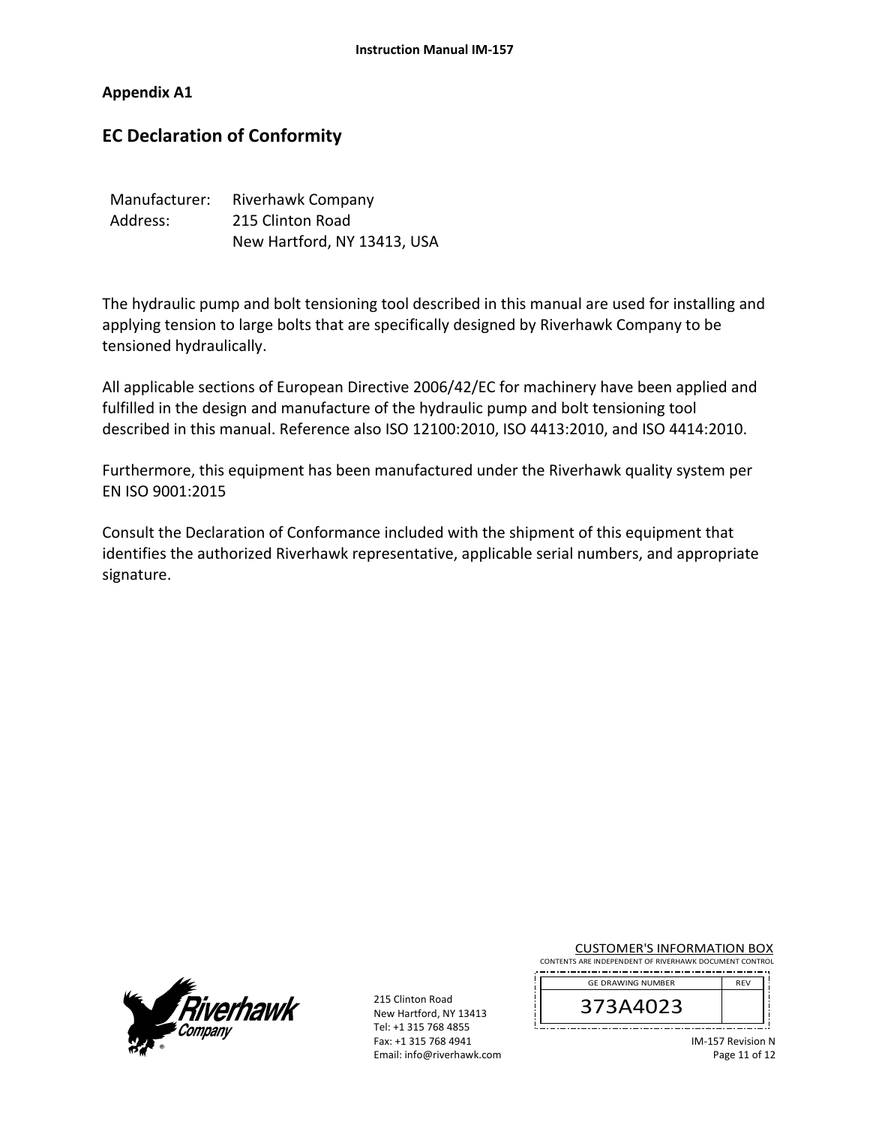**Appendix A1** 

# **EC Declaration of Conformity**

| Manufacturer: | <b>Riverhawk Company</b>    |
|---------------|-----------------------------|
| Address:      | 215 Clinton Road            |
|               | New Hartford, NY 13413, USA |

The hydraulic pump and bolt tensioning tool described in this manual are used for installing and applying tension to large bolts that are specifically designed by Riverhawk Company to be tensioned hydraulically.

All applicable sections of European Directive 2006/42/EC for machinery have been applied and fulfilled in the design and manufacture of the hydraulic pump and bolt tensioning tool described in this manual. Reference also ISO 12100:2010, ISO 4413:2010, and ISO 4414:2010.

Furthermore, this equipment has been manufactured under the Riverhawk quality system per EN ISO 9001:2015

Consult the Declaration of Conformance included with the shipment of this equipment that identifies the authorized Riverhawk representative, applicable serial numbers, and appropriate signature.



215 Clinton Road New Hartford, NY 13413 Tel: +1 315 768 4855 Fax: +1 315 768 4941 Email: info@riverhawk.com CUSTOMER'S INFORMATION BOX

| CONTENTS ARE INDEPENDENT OF RIVERHAWK DOCUMENT CONTROL |  |
|--------------------------------------------------------|--|
|                                                        |  |

| <b>GE DRAWING NUMBER</b> |  |
|--------------------------|--|
| 73A4023<br>3             |  |
|                          |  |

IM‐157 Revision N Page 11 of 12